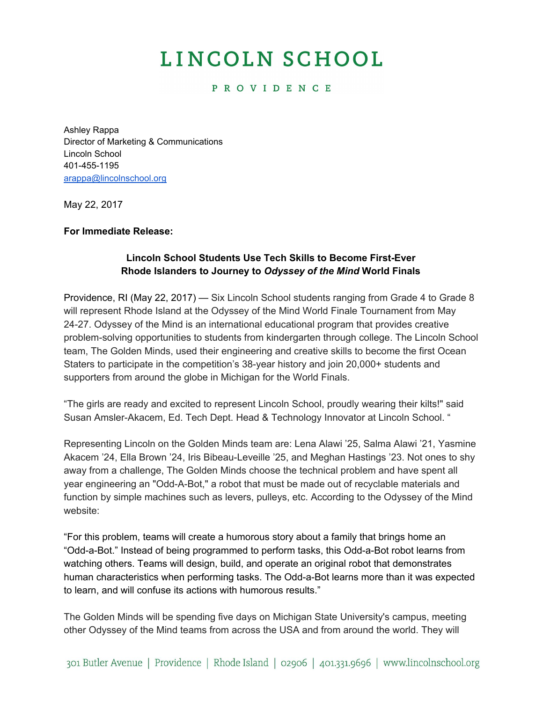# LINCOLN SCHOOL

# **PROVIDENCE**

Ashley Rappa Director of Marketing & Communications Lincoln School 401-455-1195 [arappa@lincolnschool.org](mailto:arappa@lincolnschool.org)

May 22, 2017

### **For Immediate Release:**

# **Lincoln School Students Use Tech Skills to Become First-Ever Rhode Islanders to Journey to** *Odyssey of the Mind* **World Finals**

Providence, RI (May 22, 2017) — Six Lincoln School students ranging from Grade 4 to Grade 8 will represent Rhode Island at the Odyssey of the Mind World Finale Tournament from May 24-27. Odyssey of the Mind is an international educational program that provides creative problem-solving opportunities to students from kindergarten through college. The Lincoln School team, The Golden Minds, used their engineering and creative skills to become the first Ocean Staters to participate in the competition's 38-year history and join 20,000+ students and supporters from around the globe in Michigan for the World Finals.

"The girls are ready and excited to represent Lincoln School, proudly wearing their kilts!" said Susan Amsler-Akacem, Ed. Tech Dept. Head & Technology Innovator at Lincoln School. "

Representing Lincoln on the Golden Minds team are: Lena Alawi '25, Salma Alawi '21, Yasmine Akacem '24, Ella Brown '24, Iris Bibeau-Leveille '25, and Meghan Hastings '23. Not ones to shy away from a challenge, The Golden Minds choose the technical problem and have spent all year engineering an "Odd-A-Bot," a robot that must be made out of recyclable materials and function by simple machines such as levers, pulleys, etc. According to the Odyssey of the Mind website:

"For this problem, teams will create a humorous story about a family that brings home an "Odd-a-Bot." Instead of being programmed to perform tasks, this Odd-a-Bot robot learns from watching others. Teams will design, build, and operate an original robot that demonstrates human characteristics when performing tasks. The Odd-a-Bot learns more than it was expected to learn, and will confuse its actions with humorous results."

The Golden Minds will be spending five days on Michigan State University's campus, meeting other Odyssey of the Mind teams from across the USA and from around the world. They will